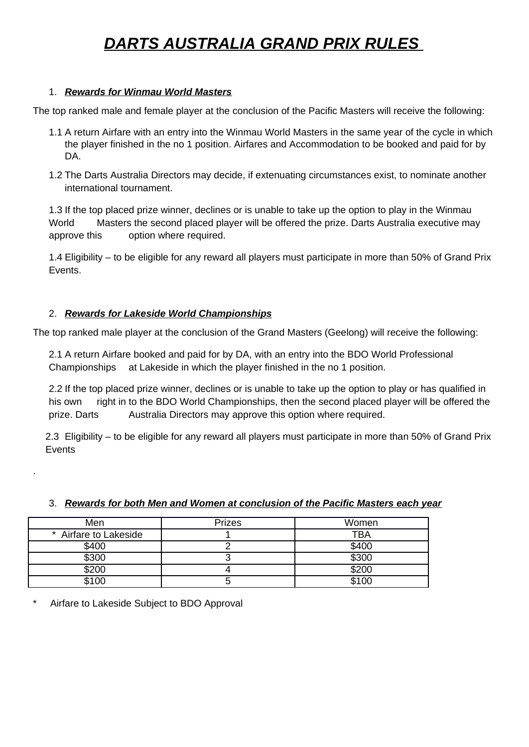# *DARTS AUSTRALIA GRAND PRIX RULES*

# 1. *Rewards for Winmau World Masters*

The top ranked male and female player at the conclusion of the Pacific Masters will receive the following:

- 1.1 A return Airfare with an entry into the Winmau World Masters in the same year of the cycle in which the player finished in the no 1 position. Airfares and Accommodation to be booked and paid for by DA.
- 1.2 The Darts Australia Directors may decide, if extenuating circumstances exist, to nominate another international tournament.

1.3 If the top placed prize winner, declines or is unable to take up the option to play in the Winmau World Masters the second placed player will be offered the prize. Darts Australia executive may approve this option where required.

1.4 Eligibility – to be eligible for any reward all players must participate in more than 50% of Grand Prix Events.

# 2. *Rewards for Lakeside World Championships*

The top ranked male player at the conclusion of the Grand Masters (Geelong) will receive the following:

2.1 A return Airfare booked and paid for by DA, with an entry into the BDO World Professional Championships at Lakeside in which the player finished in the no 1 position.

2.2 If the top placed prize winner, declines or is unable to take up the option to play or has qualified in his own right in to the BDO World Championships, then the second placed player will be offered the prize. Darts Australia Directors may approve this option where required.

2.3 Eligibility – to be eligible for any reward all players must participate in more than 50% of Grand Prix Events

| Men                   | <b>Prizes</b> | Women |
|-----------------------|---------------|-------|
| * Airfare to Lakeside |               | TBA   |
| \$400                 |               | \$400 |
| \$300                 |               | \$300 |
| \$200                 |               | \$200 |
| \$100                 |               | \$100 |

# 3. *Rewards for both Men and Women at conclusion of the Pacific Masters each year*

Airfare to Lakeside Subject to BDO Approval

.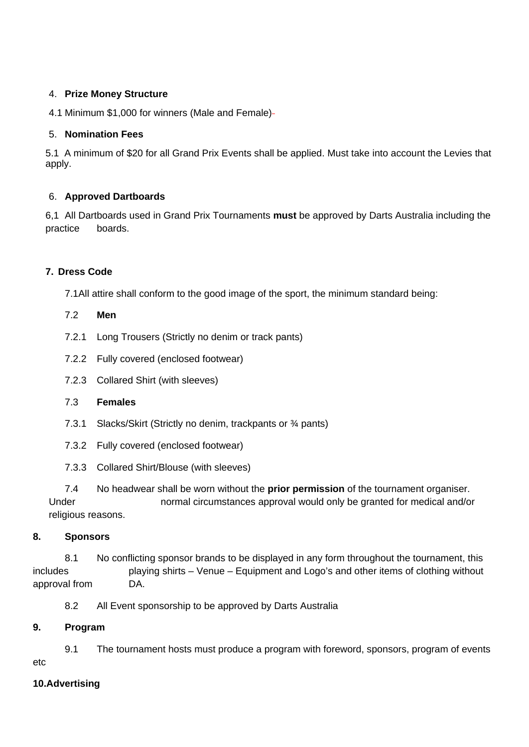# 4. **Prize Money Structure**

4.1 Minimum \$1,000 for winners (Male and Female)

### 5. **Nomination Fees**

5.1 A minimum of \$20 for all Grand Prix Events shall be applied. Must take into account the Levies that apply.

# 6. **Approved Dartboards**

6,1 All Dartboards used in Grand Prix Tournaments **must** be approved by Darts Australia including the practice boards.

# **7. Dress Code**

7.1All attire shall conform to the good image of the sport, the minimum standard being:

- 7.2 **Men**
- 7.2.1 Long Trousers (Strictly no denim or track pants)
- 7.2.2 Fully covered (enclosed footwear)
- 7.2.3 Collared Shirt (with sleeves)

### 7.3 **Females**

- 7.3.1 Slacks/Skirt (Strictly no denim, trackpants or ¾ pants)
- 7.3.2 Fully covered (enclosed footwear)
- 7.3.3 Collared Shirt/Blouse (with sleeves)

7.4 No headwear shall be worn without the **prior permission** of the tournament organiser. Under normal circumstances approval would only be granted for medical and/or religious reasons.

### **8. Sponsors**

8.1 No conflicting sponsor brands to be displayed in any form throughout the tournament, this includes playing shirts – Venue – Equipment and Logo's and other items of clothing without approval from DA.

8.2 All Event sponsorship to be approved by Darts Australia

### **9. Program**

9.1 The tournament hosts must produce a program with foreword, sponsors, program of events etc

### **10.Advertising**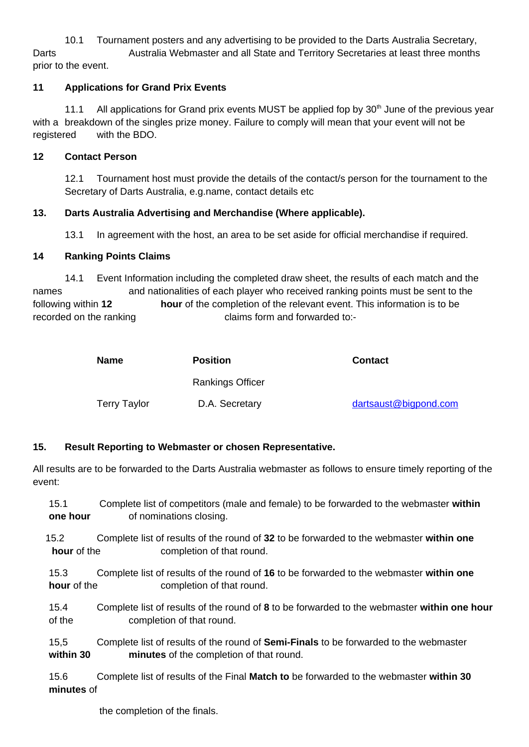10.1 Tournament posters and any advertising to be provided to the Darts Australia Secretary, Darts **Australia Webmaster and all State and Territory Secretaries at least three months** prior to the event.

# **11 Applications for Grand Prix Events**

11.1 All applications for Grand prix events MUST be applied fop by  $30<sup>th</sup>$  June of the previous vear with a breakdown of the singles prize money. Failure to comply will mean that your event will not be registered with the BDO.

# **12 Contact Person**

12.1 Tournament host must provide the details of the contact/s person for the tournament to the Secretary of Darts Australia, e.g.name, contact details etc

# **13. Darts Australia Advertising and Merchandise (Where applicable).**

13.1 In agreement with the host, an area to be set aside for official merchandise if required.

# **14 Ranking Points Claims**

14.1 Event Information including the completed draw sheet, the results of each match and the names and nationalities of each player who received ranking points must be sent to the following within **12 hour** of the completion of the relevant event. This information is to be recorded on the ranking recorded to:-

| <b>Name</b>         | <b>Position</b>  | <b>Contact</b>        |  |  |
|---------------------|------------------|-----------------------|--|--|
|                     | Rankings Officer |                       |  |  |
| <b>Terry Taylor</b> | D.A. Secretary   | dartsaust@bigpond.com |  |  |

# **15. Result Reporting to Webmaster or chosen Representative.**

All results are to be forwarded to the Darts Australia webmaster as follows to ensure timely reporting of the event:

- 15.1 Complete list of competitors (male and female) to be forwarded to the webmaster **within one hour** of nominations closing.
- 15.2 Complete list of results of the round of **32** to be forwarded to the webmaster **within one hour** of the completion of that round.

15.3 Complete list of results of the round of **16** to be forwarded to the webmaster **within one hour** of the completion of that round.

- 15.4 Complete list of results of the round of **8** to be forwarded to the webmaster **within one hour** of the completion of that round.
- 15,5 Complete list of results of the round of **Semi-Finals** to be forwarded to the webmaster **within 30 minutes** of the completion of that round.

15.6 Complete list of results of the Final **Match to** be forwarded to the webmaster **within 30 minutes** of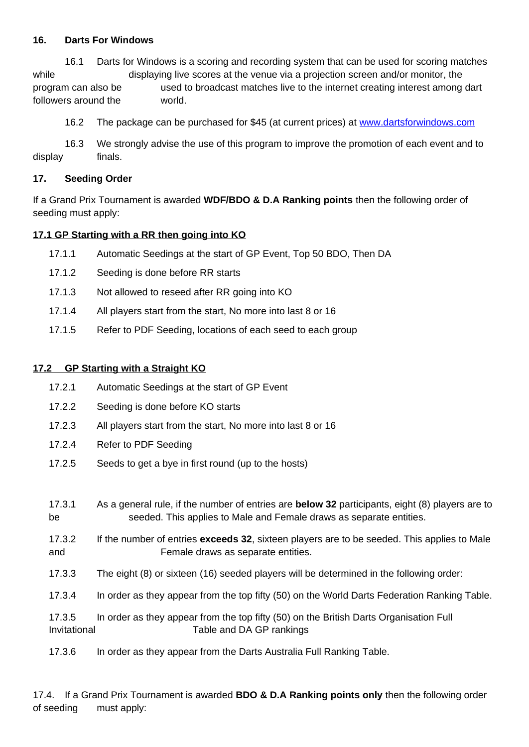### **16. Darts For Windows**

16.1 Darts for Windows is a scoring and recording system that can be used for scoring matches while displaying live scores at the venue via a projection screen and/or monitor, the program can also be used to broadcast matches live to the internet creating interest among dart followers around the world.

16.2 The package can be purchased for \$45 (at current prices) at [www.dartsforwindows.com](http://www.dartsforwindows.com/)

16.3 We strongly advise the use of this program to improve the promotion of each event and to display finals.

# **17. Seeding Order**

If a Grand Prix Tournament is awarded **WDF/BDO & D.A Ranking points** then the following order of seeding must apply:

# **17.1 GP Starting with a RR then going into KO**

- 17.1.1 Automatic Seedings at the start of GP Event, Top 50 BDO, Then DA
- 17.1.2 Seeding is done before RR starts
- 17.1.3 Not allowed to reseed after RR going into KO
- 17.1.4 All players start from the start, No more into last 8 or 16
- 17.1.5 Refer to PDF Seeding, locations of each seed to each group

### **17.2 GP Starting with a Straight KO**

- 17.2.1 Automatic Seedings at the start of GP Event
- 17.2.2 Seeding is done before KO starts
- 17.2.3 All players start from the start, No more into last 8 or 16
- 17.2.4 Refer to PDF Seeding
- 17.2.5 Seeds to get a bye in first round (up to the hosts)

| 17.3.1       | As a general rule, if the number of entries are <b>below 32</b> participants, eight (8) players are to |
|--------------|--------------------------------------------------------------------------------------------------------|
| be           | seeded. This applies to Male and Female draws as separate entities.                                    |
| 17.3.2       | If the number of entries exceeds 32, sixteen players are to be seeded. This applies to Male            |
| and          | Female draws as separate entities.                                                                     |
| 17.3.3       | The eight (8) or sixteen (16) seeded players will be determined in the following order:                |
| 17.3.4       | In order as they appear from the top fifty (50) on the World Darts Federation Ranking Table.           |
| 17.3.5       | In order as they appear from the top fifty (50) on the British Darts Organisation Full                 |
| Invitational | Table and DA GP rankings                                                                               |

17.3.6 In order as they appear from the Darts Australia Full Ranking Table.

17.4. If a Grand Prix Tournament is awarded **BDO & D.A Ranking points only** then the following order of seeding must apply: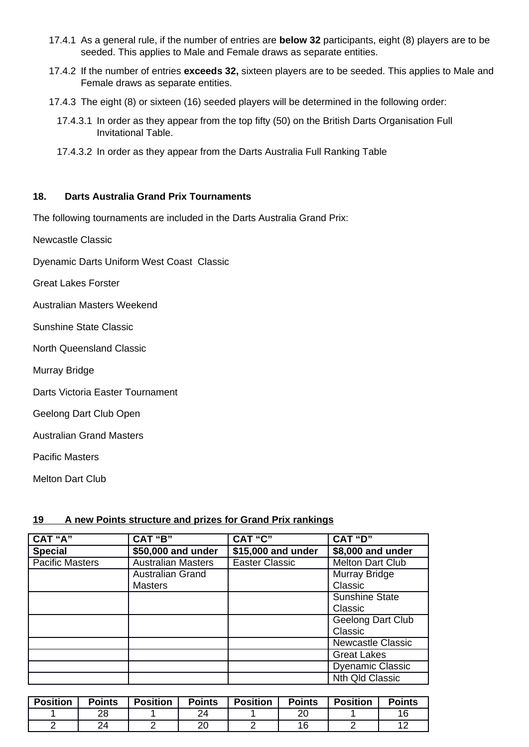- 17.4.1 As a general rule, if the number of entries are **below 32** participants, eight (8) players are to be seeded. This applies to Male and Female draws as separate entities.
- 17.4.2 If the number of entries **exceeds 32,** sixteen players are to be seeded. This applies to Male and Female draws as separate entities.
- 17.4.3 The eight (8) or sixteen (16) seeded players will be determined in the following order:
	- 17.4.3.1 In order as they appear from the top fifty (50) on the British Darts Organisation Full Invitational Table.
	- 17.4.3.2 In order as they appear from the Darts Australia Full Ranking Table

#### **18. Darts Australia Grand Prix Tournaments**

The following tournaments are included in the Darts Australia Grand Prix:

Newcastle Classic

Dyenamic Darts Uniform West Coast Classic

Great Lakes Forster

Australian Masters Weekend

Sunshine State Classic

North Queensland Classic

Murray Bridge

Darts Victoria Easter Tournament

Geelong Dart Club Open

Australian Grand Masters

Pacific Masters

Melton Dart Club

### **19 A new Points structure and prizes for Grand Prix rankings**

| CAT "A"                | CAT "B"                   | CAT "C"               | CAT "D"                  |  |
|------------------------|---------------------------|-----------------------|--------------------------|--|
| <b>Special</b>         | \$50,000 and under        | \$15,000 and under    | \$8,000 and under        |  |
| <b>Pacific Masters</b> | <b>Australian Masters</b> | <b>Easter Classic</b> | <b>Melton Dart Club</b>  |  |
|                        | <b>Australian Grand</b>   |                       | Murray Bridge            |  |
|                        | <b>Masters</b>            |                       | Classic                  |  |
|                        |                           |                       | Sunshine State           |  |
|                        |                           |                       | Classic                  |  |
|                        |                           |                       | Geelong Dart Club        |  |
|                        |                           |                       | Classic                  |  |
|                        |                           |                       | <b>Newcastle Classic</b> |  |
|                        |                           |                       | <b>Great Lakes</b>       |  |
|                        |                           |                       | <b>Dyenamic Classic</b>  |  |
|                        |                           |                       | Nth Old Classic          |  |

| <b>Position</b> | <b>Points</b> | <b>Position</b> | <b>Points</b> | <b>Position</b> | <b>Points</b> | <b>Position</b> | <b>Points</b> |
|-----------------|---------------|-----------------|---------------|-----------------|---------------|-----------------|---------------|
|                 | າ໐            |                 | $2\Lambda$    |                 |               |                 | ᅩㄴ            |
|                 | າ ለ<br>44     |                 | ററ<br>∠⊾      |                 |               |                 | --            |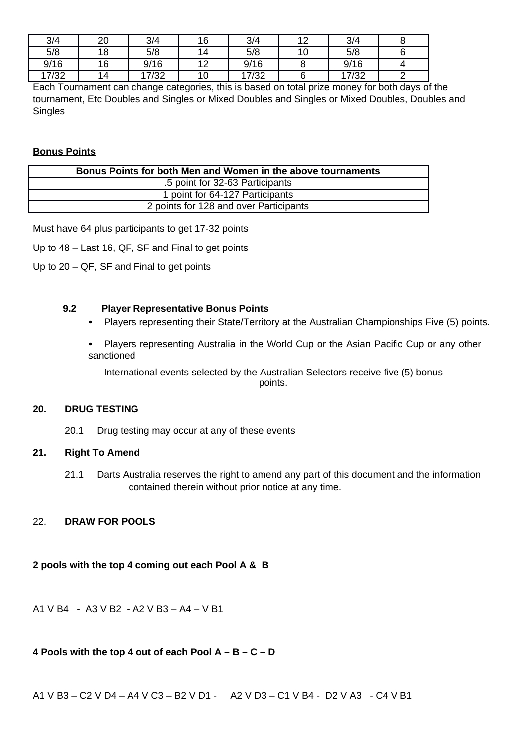| 3/4   | 20 | 3/4   | 16                | 3/4   | 10 | 3/4   |  |
|-------|----|-------|-------------------|-------|----|-------|--|
| 5/8   | 18 | 5/8   | 14                | 5/8   | ⊥∪ | 5/8   |  |
| 9/16  | 16 | 9/16  | $1^{\circ}$<br>∸∸ | 9/16  |    | 9/16  |  |
| 17/32 | 14 | 17/32 | 10                | 17/32 |    | 17/32 |  |

Each Tournament can change categories, this is based on total prize money for both days of the tournament, Etc Doubles and Singles or Mixed Doubles and Singles or Mixed Doubles, Doubles and Singles

#### **Bonus Points**

| Bonus Points for both Men and Women in the above tournaments |  |
|--------------------------------------------------------------|--|
| .5 point for 32-63 Participants                              |  |
| 1 point for 64-127 Participants                              |  |
| 2 points for 128 and over Participants                       |  |
|                                                              |  |

Must have 64 plus participants to get 17-32 points

- Up to 48 Last 16, QF, SF and Final to get points
- Up to  $20 QF$ , SF and Final to get points

# **9.2 Player Representative Bonus Points**

- Players representing their State/Territory at the Australian Championships Five (5) points.
- Players representing Australia in the World Cup or the Asian Pacific Cup or any other sanctioned

International events selected by the Australian Selectors receive five (5) bonus points.

#### **20. DRUG TESTING**

20.1 Drug testing may occur at any of these events

#### **21. Right To Amend**

21.1 Darts Australia reserves the right to amend any part of this document and the information contained therein without prior notice at any time.

### 22. **DRAW FOR POOLS**

**2 pools with the top 4 coming out each Pool A & B**

A1 V B4 - A3 V B2 - A2 V B3 – A4 – V B1

### **4 Pools with the top 4 out of each Pool A – B – C – D**

A1 V B3 – C2 V D4 – A4 V C3 – B2 V D1 - A2 V D3 – C1 V B4 - D2 V A3 - C4 V B1